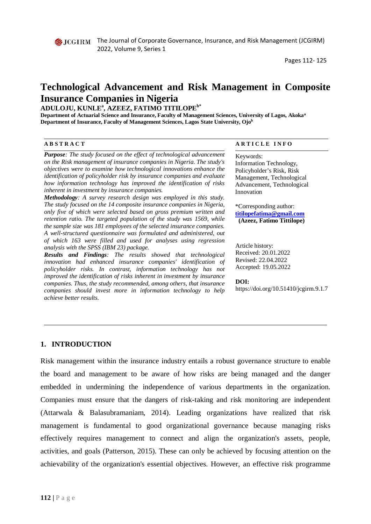# **Technological Advancement and Risk Management in Composite Insurance Companies in Nigeria**

#### **ADULOJU, KUNLE<sup>a</sup> , AZEEZ, FATIMO TITILOPEb\***

**Department of Actuarial Science and Insurance, Faculty of Management Sciences, University of Lagos, Akokaa Department of Insurance, Faculty of Management Sciences, Lagos State University, Ojob** 

| <b>ABSTRACT</b>                                                              | ARTICLE INFO               |
|------------------------------------------------------------------------------|----------------------------|
| <b>Purpose:</b> The study focused on the effect of technological advancement | Keywords:                  |
| on the Risk management of insurance companies in Nigeria. The study's        | Information Technology,    |
| objectives were to examine how technological innovations enhance the         | Policyholder's Risk, Risk  |
| identification of policyholder risk by insurance companies and evaluate      | Management, Technological  |
| how information technology has improved the identification of risks          | Advancement, Technological |

*inherent in investment by insurance companies. Methodology: A survey research design was employed in this study. The study focused on the 14 composite insurance companies in Nigeria, only five of which were selected based on gross premium written and retention ratio. The targeted population of the study was 1569, while the sample size was 181 employees of the selected insurance companies. A well-structured questionnaire was formulated and administered, out of which 163 were filled and used for analyses using regression analysis with the SPSS (IBM 23) package.* 

*Results and Findings: The results showed that technological innovation had enhanced insurance companies' identification of policyholder risks. In contrast, information technology has not improved the identification of risks inherent in investment by insurance companies. Thus, the study recommended, among others, that insurance companies should invest more in information technology to help achieve better results.* 

Advancement, Technological Innovation

\*Corresponding author: **[titilopefatima@gmail.com](mailto:titilopefatima@gmail.com) (Azeez, Fatimo Tittilope)**

Article history: Received: 20.01.2022 Revised: 22.04.2022 Accepted: 19.05.2022

#### **DOI:**

https://doi.org/10.51410/jcgirm.9.1.7

#### **1. INTRODUCTION**

Risk management within the insurance industry entails a robust governance structure to enable the board and management to be aware of how risks are being managed and the danger embedded in undermining the independence of various departments in the organization. Companies must ensure that the dangers of risk-taking and risk monitoring are independent (Attarwala & Balasubramaniam, 2014). Leading organizations have realized that risk management is fundamental to good organizational governance because managing risks effectively requires management to connect and align the organization's assets, people, activities, and goals (Patterson, 2015). These can only be achieved by focusing attention on the achievability of the organization's essential objectives. However, an effective risk programme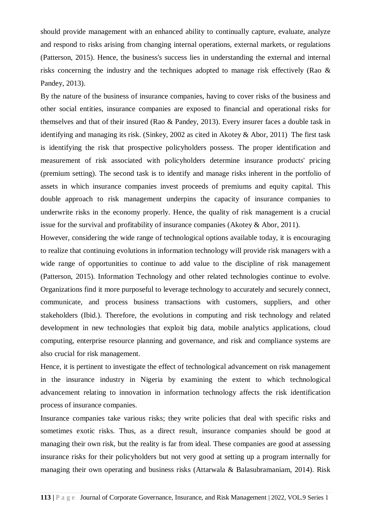should provide management with an enhanced ability to continually capture, evaluate, analyze and respond to risks arising from changing internal operations, external markets, or regulations (Patterson, 2015). Hence, the business's success lies in understanding the external and internal risks concerning the industry and the techniques adopted to manage risk effectively (Rao & Pandey, 2013).

By the nature of the business of insurance companies, having to cover risks of the business and other social entities, insurance companies are exposed to financial and operational risks for themselves and that of their insured (Rao & Pandey, 2013). Every insurer faces a double task in identifying and managing its risk. (Sinkey, 2002 as cited in Akotey & Abor, 2011) The first task is identifying the risk that prospective policyholders possess. The proper identification and measurement of risk associated with policyholders determine insurance products' pricing (premium setting). The second task is to identify and manage risks inherent in the portfolio of assets in which insurance companies invest proceeds of premiums and equity capital. This double approach to risk management underpins the capacity of insurance companies to underwrite risks in the economy properly. Hence, the quality of risk management is a crucial issue for the survival and profitability of insurance companies (Akotey & Abor, 2011).

However, considering the wide range of technological options available today, it is encouraging to realize that continuing evolutions in information technology will provide risk managers with a wide range of opportunities to continue to add value to the discipline of risk management (Patterson, 2015). Information Technology and other related technologies continue to evolve. Organizations find it more purposeful to leverage technology to accurately and securely connect, communicate, and process business transactions with customers, suppliers, and other stakeholders (Ibid.). Therefore, the evolutions in computing and risk technology and related development in new technologies that exploit big data, mobile analytics applications, cloud computing, enterprise resource planning and governance, and risk and compliance systems are also crucial for risk management.

Hence, it is pertinent to investigate the effect of technological advancement on risk management in the insurance industry in Nigeria by examining the extent to which technological advancement relating to innovation in information technology affects the risk identification process of insurance companies.

Insurance companies take various risks; they write policies that deal with specific risks and sometimes exotic risks. Thus, as a direct result, insurance companies should be good at managing their own risk, but the reality is far from ideal. These companies are good at assessing insurance risks for their policyholders but not very good at setting up a program internally for managing their own operating and business risks (Attarwala & Balasubramaniam, 2014). Risk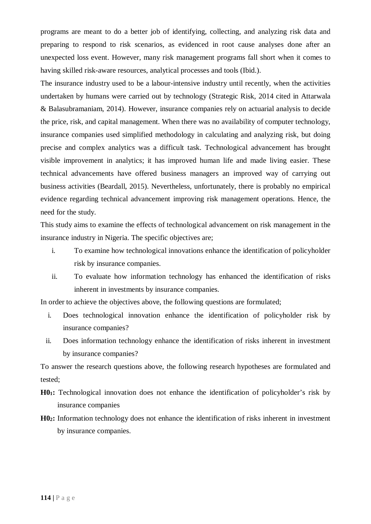programs are meant to do a better job of identifying, collecting, and analyzing risk data and preparing to respond to risk scenarios, as evidenced in root cause analyses done after an unexpected loss event. However, many risk management programs fall short when it comes to having skilled risk-aware resources, analytical processes and tools (Ibid.).

The insurance industry used to be a labour-intensive industry until recently, when the activities undertaken by humans were carried out by technology (Strategic Risk, 2014 cited in Attarwala & Balasubramaniam, 2014). However, insurance companies rely on actuarial analysis to decide the price, risk, and capital management. When there was no availability of computer technology, insurance companies used simplified methodology in calculating and analyzing risk, but doing precise and complex analytics was a difficult task. Technological advancement has brought visible improvement in analytics; it has improved human life and made living easier. These technical advancements have offered business managers an improved way of carrying out business activities (Beardall, 2015). Nevertheless, unfortunately, there is probably no empirical evidence regarding technical advancement improving risk management operations. Hence, the need for the study.

This study aims to examine the effects of technological advancement on risk management in the insurance industry in Nigeria. The specific objectives are;

- i. To examine how technological innovations enhance the identification of policyholder risk by insurance companies.
- ii. To evaluate how information technology has enhanced the identification of risks inherent in investments by insurance companies.

In order to achieve the objectives above, the following questions are formulated;

- i. Does technological innovation enhance the identification of policyholder risk by insurance companies?
- ii. Does information technology enhance the identification of risks inherent in investment by insurance companies?

To answer the research questions above, the following research hypotheses are formulated and tested;

- **H01:** Technological innovation does not enhance the identification of policyholder's risk by insurance companies
- **H02:** Information technology does not enhance the identification of risks inherent in investment by insurance companies.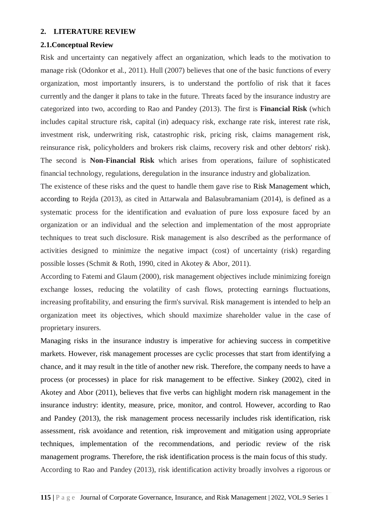#### **2. LITERATURE REVIEW**

#### **2.1.Conceptual Review**

Risk and uncertainty can negatively affect an organization, which leads to the motivation to manage risk (Odonkor et al., 2011). Hull (2007) believes that one of the basic functions of every organization, most importantly insurers, is to understand the portfolio of risk that it faces currently and the danger it plans to take in the future. Threats faced by the insurance industry are categorized into two, according to Rao and Pandey (2013). The first is **Financial Risk** (which includes capital structure risk, capital (in) adequacy risk, exchange rate risk, interest rate risk, investment risk, underwriting risk, catastrophic risk, pricing risk, claims management risk, reinsurance risk, policyholders and brokers risk claims, recovery risk and other debtors' risk). The second is **Non-Financial Risk** which arises from operations, failure of sophisticated financial technology, regulations, deregulation in the insurance industry and globalization.

The existence of these risks and the quest to handle them gave rise to Risk Management which, according to Rejda (2013), as cited in Attarwala and Balasubramaniam (2014), is defined as a systematic process for the identification and evaluation of pure loss exposure faced by an organization or an individual and the selection and implementation of the most appropriate techniques to treat such disclosure. Risk management is also described as the performance of activities designed to minimize the negative impact (cost) of uncertainty (risk) regarding possible losses (Schmit & Roth, 1990, cited in Akotey & Abor, 2011).

According to Fatemi and Glaum (2000), risk management objectives include minimizing foreign exchange losses, reducing the volatility of cash flows, protecting earnings fluctuations, increasing profitability, and ensuring the firm's survival. Risk management is intended to help an organization meet its objectives, which should maximize shareholder value in the case of proprietary insurers.

Managing risks in the insurance industry is imperative for achieving success in competitive markets. However, risk management processes are cyclic processes that start from identifying a chance, and it may result in the title of another new risk. Therefore, the company needs to have a process (or processes) in place for risk management to be effective. Sinkey (2002), cited in Akotey and Abor (2011), believes that five verbs can highlight modern risk management in the insurance industry: identity, measure, price, monitor, and control. However, according to Rao and Pandey (2013), the risk management process necessarily includes risk identification, risk assessment, risk avoidance and retention, risk improvement and mitigation using appropriate techniques, implementation of the recommendations, and periodic review of the risk management programs. Therefore, the risk identification process is the main focus of this study. According to Rao and Pandey (2013), risk identification activity broadly involves a rigorous or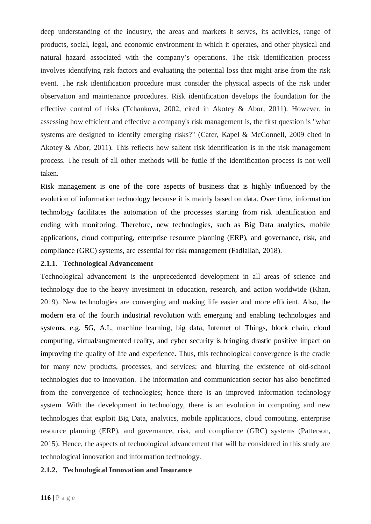deep understanding of the industry, the areas and markets it serves, its activities, range of products, social, legal, and economic environment in which it operates, and other physical and natural hazard associated with the company's operations. The risk identification process involves identifying risk factors and evaluating the potential loss that might arise from the risk event. The risk identification procedure must consider the physical aspects of the risk under observation and maintenance procedures. Risk identification develops the foundation for the effective control of risks (Tchankova, 2002, cited in Akotey & Abor, 2011). However, in assessing how efficient and effective a company's risk management is, the first question is "what systems are designed to identify emerging risks?" (Cater, Kapel & McConnell, 2009 cited in Akotey & Abor, 2011). This reflects how salient risk identification is in the risk management process. The result of all other methods will be futile if the identification process is not well taken.

Risk management is one of the core aspects of business that is highly influenced by the evolution of information technology because it is mainly based on data. Over time, information technology facilitates the automation of the processes starting from risk identification and ending with monitoring. Therefore, new technologies, such as Big Data analytics, mobile applications, cloud computing, enterprise resource planning (ERP), and governance, risk, and compliance (GRC) systems, are essential for risk management (Fadlallah, 2018).

#### **2.1.1. Technological Advancement**

Technological advancement is the unprecedented development in all areas of science and technology due to the heavy investment in education, research, and action worldwide (Khan, 2019). New technologies are converging and making life easier and more efficient. Also, the modern era of the fourth industrial revolution with emerging and enabling technologies and systems, e.g. 5G, A.I., machine learning, big data, Internet of Things, block chain, cloud computing, virtual/augmented reality, and cyber security is bringing drastic positive impact on improving the quality of life and experience. Thus, this technological convergence is the cradle for many new products, processes, and services; and blurring the existence of old-school technologies due to innovation. The information and communication sector has also benefitted from the convergence of technologies; hence there is an improved information technology system. With the development in technology, there is an evolution in computing and new technologies that exploit Big Data, analytics, mobile applications, cloud computing, enterprise resource planning (ERP), and governance, risk, and compliance (GRC) systems (Patterson, 2015). Hence, the aspects of technological advancement that will be considered in this study are technological innovation and information technology.

#### **2.1.2. Technological Innovation and Insurance**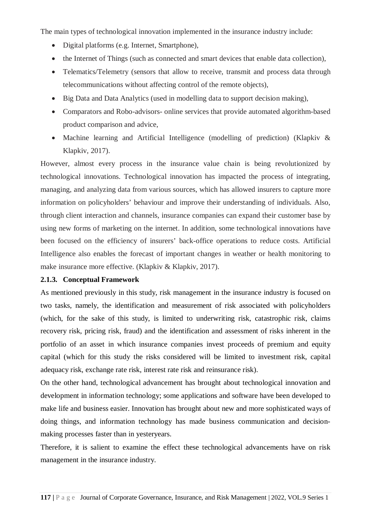The main types of technological innovation implemented in the insurance industry include:

- Digital platforms (e.g. Internet, Smartphone),
- the Internet of Things (such as connected and smart devices that enable data collection),
- Telematics/Telemetry (sensors that allow to receive, transmit and process data through telecommunications without affecting control of the remote objects),
- Big Data and Data Analytics (used in modelling data to support decision making),
- Comparators and Robo-advisors- online services that provide automated algorithm-based product comparison and advice,
- Machine learning and Artificial Intelligence (modelling of prediction) (Klapkiv & Klapkiv, 2017).

However, almost every process in the insurance value chain is being revolutionized by technological innovations. Technological innovation has impacted the process of integrating, managing, and analyzing data from various sources, which has allowed insurers to capture more information on policyholders' behaviour and improve their understanding of individuals. Also, through client interaction and channels, insurance companies can expand their customer base by using new forms of marketing on the internet. In addition, some technological innovations have been focused on the efficiency of insurers' back-office operations to reduce costs. Artificial Intelligence also enables the forecast of important changes in weather or health monitoring to make insurance more effective. (Klapkiv & Klapkiv, 2017).

## **2.1.3. Conceptual Framework**

As mentioned previously in this study, risk management in the insurance industry is focused on two tasks, namely, the identification and measurement of risk associated with policyholders (which, for the sake of this study, is limited to underwriting risk, catastrophic risk, claims recovery risk, pricing risk, fraud) and the identification and assessment of risks inherent in the portfolio of an asset in which insurance companies invest proceeds of premium and equity capital (which for this study the risks considered will be limited to investment risk, capital adequacy risk, exchange rate risk, interest rate risk and reinsurance risk).

On the other hand, technological advancement has brought about technological innovation and development in information technology; some applications and software have been developed to make life and business easier. Innovation has brought about new and more sophisticated ways of doing things, and information technology has made business communication and decisionmaking processes faster than in yesteryears.

Therefore, it is salient to examine the effect these technological advancements have on risk management in the insurance industry.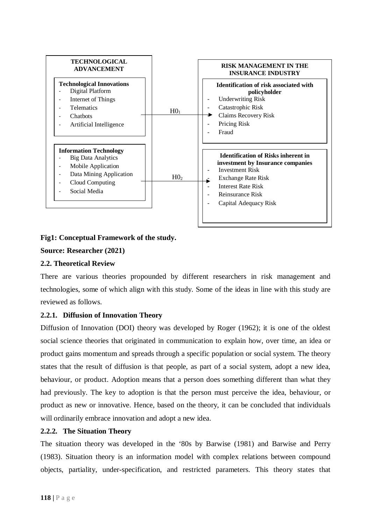

## **Fig1: Conceptual Framework of the study.**

## **Source: Researcher (2021)**

#### **2.2. Theoretical Review**

There are various theories propounded by different researchers in risk management and technologies, some of which align with this study. Some of the ideas in line with this study are reviewed as follows.

## **2.2.1. Diffusion of Innovation Theory**

Diffusion of Innovation (DOI) theory was developed by Roger (1962); it is one of the oldest social science theories that originated in communication to explain how, over time, an idea or product gains momentum and spreads through a specific population or social system. The theory states that the result of diffusion is that people, as part of a social system, adopt a new idea, behaviour, or product. Adoption means that a person does something different than what they had previously. The key to adoption is that the person must perceive the idea, behaviour, or product as new or innovative. Hence, based on the theory, it can be concluded that individuals will ordinarily embrace innovation and adopt a new idea.

#### **2.2.2. The Situation Theory**

The situation theory was developed in the '80s by Barwise (1981) and Barwise and Perry (1983). Situation theory is an information model with complex relations between compound objects, partiality, under-specification, and restricted parameters. This theory states that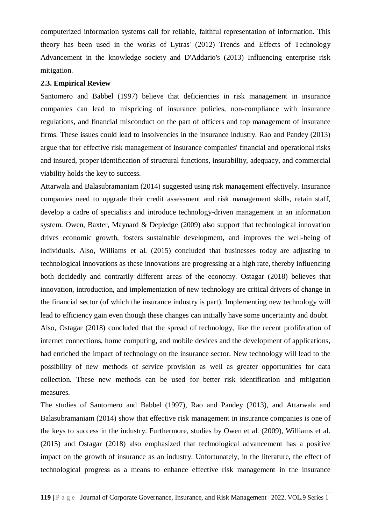computerized information systems call for reliable, faithful representation of information. This theory has been used in the works of Lytras' (2012) Trends and Effects of Technology Advancement in the knowledge society and D'Addario's (2013) Influencing enterprise risk mitigation.

#### **2.3. Empirical Review**

Santomero and Babbel (1997) believe that deficiencies in risk management in insurance companies can lead to mispricing of insurance policies, non-compliance with insurance regulations, and financial misconduct on the part of officers and top management of insurance firms. These issues could lead to insolvencies in the insurance industry. Rao and Pandey (2013) argue that for effective risk management of insurance companies' financial and operational risks and insured, proper identification of structural functions, insurability, adequacy, and commercial viability holds the key to success.

Attarwala and Balasubramaniam (2014) suggested using risk management effectively. Insurance companies need to upgrade their credit assessment and risk management skills, retain staff, develop a cadre of specialists and introduce technology-driven management in an information system. Owen, Baxter, Maynard & Depledge (2009) also support that technological innovation drives economic growth, fosters sustainable development, and improves the well-being of individuals. Also, Williams et al. (2015) concluded that businesses today are adjusting to technological innovations as these innovations are progressing at a high rate, thereby influencing both decidedly and contrarily different areas of the economy. Ostagar (2018) believes that innovation, introduction, and implementation of new technology are critical drivers of change in the financial sector (of which the insurance industry is part). Implementing new technology will lead to efficiency gain even though these changes can initially have some uncertainty and doubt. Also, Ostagar (2018) concluded that the spread of technology, like the recent proliferation of internet connections, home computing, and mobile devices and the development of applications, had enriched the impact of technology on the insurance sector. New technology will lead to the possibility of new methods of service provision as well as greater opportunities for data collection. These new methods can be used for better risk identification and mitigation measures.

The studies of Santomero and Babbel (1997), Rao and Pandey (2013), and Attarwala and Balasubramaniam (2014) show that effective risk management in insurance companies is one of the keys to success in the industry. Furthermore, studies by Owen et al. (2009), Williams et al. (2015) and Ostagar (2018) also emphasized that technological advancement has a positive impact on the growth of insurance as an industry. Unfortunately, in the literature, the effect of technological progress as a means to enhance effective risk management in the insurance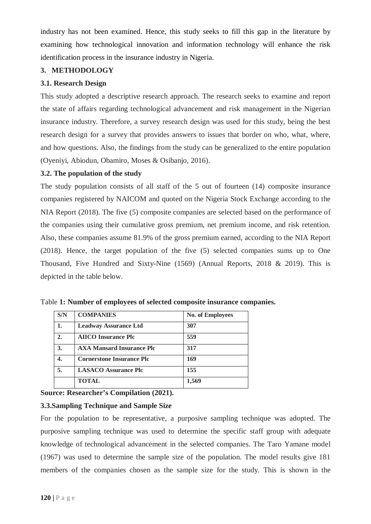industry has not been examined. Hence, this study seeks to fill this gap in the literature by examining how technological innovation and information technology will enhance the risk identification process in the insurance industry in Nigeria.

## **3. METHODOLOGY**

## **3.1. Research Design**

This study adopted a descriptive research approach. The research seeks to examine and report the state of affairs regarding technological advancement and risk management in the Nigerian insurance industry. Therefore, a survey research design was used for this study, being the best research design for a survey that provides answers to issues that border on who, what, where, and how questions. Also, the findings from the study can be generalized to the entire population (Oyeniyi, Abiodun, Obamiro, Moses & Osibanjo, 2016).

## **3.2. The population of the study**

The study population consists of all staff of the 5 out of fourteen (14) composite insurance companies registered by NAICOM and quoted on the Nigeria Stock Exchange according to the NIA Report (2018). The five (5) composite companies are selected based on the performance of the companies using their cumulative gross premium, net premium income, and risk retention. Also, these companies assume 81.9% of the gross premium earned, according to the NIA Report (2018). Hence, the target population of the five (5) selected companies sums up to One Thousand, Five Hundred and Sixty-Nine (1569) (Annual Reports, 2018 & 2019). This is depicted in the table below.

| S/N            | <b>COMPANIES</b>                 | <b>No. of Employees</b> |
|----------------|----------------------------------|-------------------------|
| 1.             | <b>Leadway Assurance Ltd</b>     | 307                     |
| $\overline{2}$ | <b>AIICO Insurance Plc</b>       | 559                     |
| 3.             | <b>AXA Mansard Insurance Plc</b> | 317                     |
| 4.             | <b>Cornerstone Insurance Plc</b> | 169                     |
| 5.             | <b>LASACO Assurance Plc</b>      | 155                     |
|                | <b>TOTAL</b>                     | 1,569                   |

Table **1: Number of employees of selected composite insurance companies.**

**Source: Researcher's Compilation (2021).** 

## **3.3.Sampling Technique and Sample Size**

For the population to be representative, a purposive sampling technique was adopted. The purposive sampling technique was used to determine the specific staff group with adequate knowledge of technological advancement in the selected companies. The Taro Yamane model (1967) was used to determine the sample size of the population. The model results give 181 members of the companies chosen as the sample size for the study. This is shown in the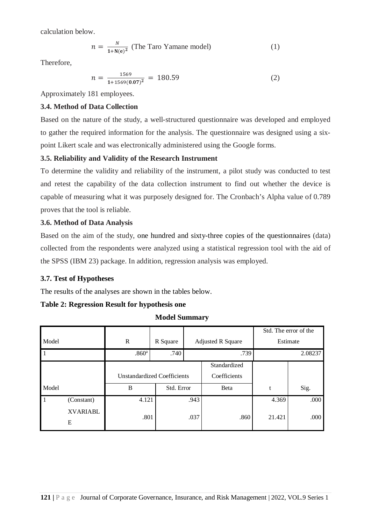calculation below.

$$
n = \frac{N}{1 + N(e)^2}
$$
 (The Taro Yamane model) (1)

Therefore,

$$
n = \frac{1569}{1 + 1569(0.07)^2} = 180.59
$$
 (2)

Approximately 181 employees.

## **3.4. Method of Data Collection**

Based on the nature of the study, a well-structured questionnaire was developed and employed to gather the required information for the analysis. The questionnaire was designed using a sixpoint Likert scale and was electronically administered using the Google forms.

# **3.5. Reliability and Validity of the Research Instrument**

To determine the validity and reliability of the instrument, a pilot study was conducted to test and retest the capability of the data collection instrument to find out whether the device is capable of measuring what it was purposely designed for. The Cronbach's Alpha value of 0.789 proves that the tool is reliable.

# **3.6. Method of Data Analysis**

Based on the aim of the study, one hundred and sixty-three copies of the questionnaires (data) collected from the respondents were analyzed using a statistical regression tool with the aid of the SPSS (IBM 23) package. In addition, regression analysis was employed.

# **3.7. Test of Hypotheses**

The results of the analyses are shown in the tables below.

## **Table 2: Regression Result for hypothesis one**

|              |                 |                   |            |                                                    |      |        | Std. The error of the |
|--------------|-----------------|-------------------|------------|----------------------------------------------------|------|--------|-----------------------|
| Model        |                 | $\mathbb{R}$      | R Square   | <b>Adjusted R Square</b>                           |      |        | Estimate              |
| $\mathbf{1}$ |                 | .860 <sup>a</sup> | .740       |                                                    | .739 |        | 2.08237               |
|              |                 |                   |            | Standardized                                       |      |        |                       |
|              |                 |                   |            | Coefficients<br><b>Unstandardized Coefficients</b> |      |        |                       |
| Model        |                 | B                 | Std. Error |                                                    | Beta | t      | Sig.                  |
| $\mathbf{1}$ | (Constant)      | 4.121             |            | .943                                               |      | 4.369  | .000                  |
|              | <b>XVARIABL</b> | .801              |            | .037                                               |      | 21.421 |                       |
|              | E               |                   |            |                                                    | .860 |        | .000                  |

## **Model Summary**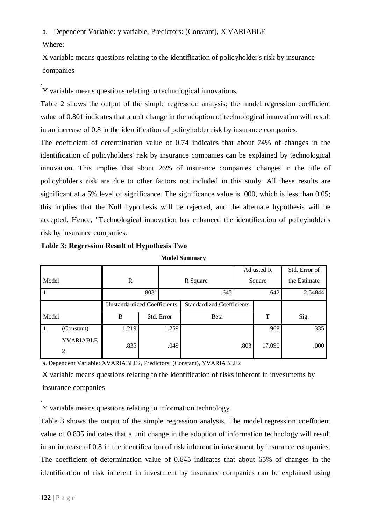a. Dependent Variable: y variable, Predictors: (Constant), X VARIABLE Where:

X variable means questions relating to the identification of policyholder's risk by insurance companies

. Y variable means questions relating to technological innovations.

Table 2 shows the output of the simple regression analysis; the model regression coefficient value of 0.801 indicates that a unit change in the adoption of technological innovation will result in an increase of 0.8 in the identification of policyholder risk by insurance companies.

The coefficient of determination value of 0.74 indicates that about 74% of changes in the identification of policyholders' risk by insurance companies can be explained by technological innovation. This implies that about 26% of insurance companies' changes in the title of policyholder's risk are due to other factors not included in this study. All these results are significant at a 5% level of significance. The significance value is .000, which is less than 0.05; this implies that the Null hypothesis will be rejected, and the alternate hypothesis will be accepted. Hence, "Technological innovation has enhanced the identification of policyholder's risk by insurance companies.

|                |                       |                                    |  |            |                                  |        | Adjusted R | Std. Error of |
|----------------|-----------------------|------------------------------------|--|------------|----------------------------------|--------|------------|---------------|
| Model          |                       | R                                  |  |            | R Square                         | Square |            | the Estimate  |
| $\overline{1}$ | .803 <sup>a</sup>     |                                    |  | .645       |                                  | .642   | 2.54844    |               |
|                |                       | <b>Unstandardized Coefficients</b> |  |            | <b>Standardized Coefficients</b> |        |            |               |
| Model          |                       | B                                  |  | Std. Error | Beta                             |        | т          | Sig.          |
| $\vert$ 1      | (Constant)            | 1.219                              |  | 1.259      |                                  |        | .968       | .335          |
|                | <b>YVARIABLE</b><br>2 | .835                               |  | .049       |                                  | .803   | 17.090     | .000          |

**Table 3: Regression Result of Hypothesis Two**

**Model Summary**

a. Dependent Variable: XVARIABLE2, Predictors: (Constant), YVARIABLE2

X variable means questions relating to the identification of risks inherent in investments by insurance companies

. Y variable means questions relating to information technology.

Table 3 shows the output of the simple regression analysis. The model regression coefficient value of 0.835 indicates that a unit change in the adoption of information technology will result in an increase of 0.8 in the identification of risk inherent in investment by insurance companies. The coefficient of determination value of 0.645 indicates that about 65% of changes in the identification of risk inherent in investment by insurance companies can be explained using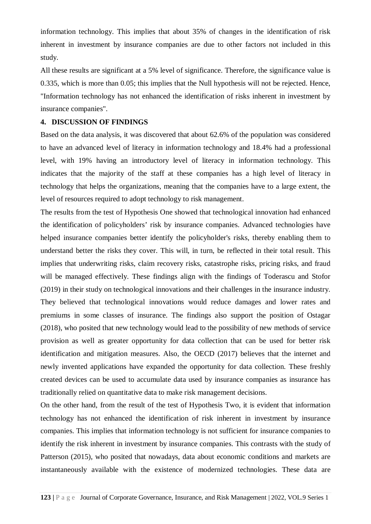information technology. This implies that about 35% of changes in the identification of risk inherent in investment by insurance companies are due to other factors not included in this study.

All these results are significant at a 5% level of significance. Therefore, the significance value is 0.335, which is more than 0.05; this implies that the Null hypothesis will not be rejected. Hence, "Information technology has not enhanced the identification of risks inherent in investment by insurance companies".

## **4. DISCUSSION OF FINDINGS**

Based on the data analysis, it was discovered that about 62.6% of the population was considered to have an advanced level of literacy in information technology and 18.4% had a professional level, with 19% having an introductory level of literacy in information technology. This indicates that the majority of the staff at these companies has a high level of literacy in technology that helps the organizations, meaning that the companies have to a large extent, the level of resources required to adopt technology to risk management.

The results from the test of Hypothesis One showed that technological innovation had enhanced the identification of policyholders' risk by insurance companies. Advanced technologies have helped insurance companies better identify the policyholder's risks, thereby enabling them to understand better the risks they cover. This will, in turn, be reflected in their total result. This implies that underwriting risks, claim recovery risks, catastrophe risks, pricing risks, and fraud will be managed effectively. These findings align with the findings of Toderascu and Stofor (2019) in their study on technological innovations and their challenges in the insurance industry. They believed that technological innovations would reduce damages and lower rates and premiums in some classes of insurance. The findings also support the position of Ostagar (2018), who posited that new technology would lead to the possibility of new methods of service provision as well as greater opportunity for data collection that can be used for better risk identification and mitigation measures. Also, the OECD (2017) believes that the internet and newly invented applications have expanded the opportunity for data collection. These freshly created devices can be used to accumulate data used by insurance companies as insurance has traditionally relied on quantitative data to make risk management decisions.

On the other hand, from the result of the test of Hypothesis Two, it is evident that information technology has not enhanced the identification of risk inherent in investment by insurance companies. This implies that information technology is not sufficient for insurance companies to identify the risk inherent in investment by insurance companies. This contrasts with the study of Patterson (2015), who posited that nowadays, data about economic conditions and markets are instantaneously available with the existence of modernized technologies. These data are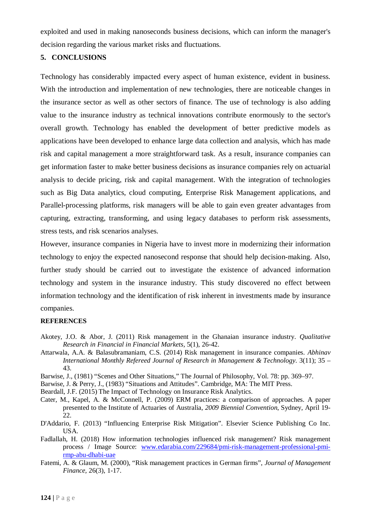exploited and used in making nanoseconds business decisions, which can inform the manager's decision regarding the various market risks and fluctuations.

#### **5. CONCLUSIONS**

Technology has considerably impacted every aspect of human existence, evident in business. With the introduction and implementation of new technologies, there are noticeable changes in the insurance sector as well as other sectors of finance. The use of technology is also adding value to the insurance industry as technical innovations contribute enormously to the sector's overall growth. Technology has enabled the development of better predictive models as applications have been developed to enhance large data collection and analysis, which has made risk and capital management a more straightforward task. As a result, insurance companies can get information faster to make better business decisions as insurance companies rely on actuarial analysis to decide pricing, risk and capital management. With the integration of technologies such as Big Data analytics, cloud computing, Enterprise Risk Management applications, and Parallel-processing platforms, risk managers will be able to gain even greater advantages from capturing, extracting, transforming, and using legacy databases to perform risk assessments, stress tests, and risk scenarios analyses.

However, insurance companies in Nigeria have to invest more in modernizing their information technology to enjoy the expected nanosecond response that should help decision-making. Also, further study should be carried out to investigate the existence of advanced information technology and system in the insurance industry. This study discovered no effect between information technology and the identification of risk inherent in investments made by insurance companies.

#### **REFERENCES**

- Akotey, J.O. & Abor, J. (2011) Risk management in the Ghanaian insurance industry. *Qualitative Research in Financial in Financial Markets,* 5(1), 26-42.
- Attarwala, A.A. & Balasubramaniam, C.S. (2014) Risk management in insurance companies. *Abhinav International Monthly Refereed Journal of Research in Management & Technology*. 3(11); 35 – 43.
- Barwise, J., (1981) "Scenes and Other Situations," The Journal of Philosophy, Vol. 78: pp. 369–97.
- Barwise, J. & Perry, J., (1983) "Situations and Attitudes". Cambridge, MA: The MIT Press.
- Beardall, J.F. (2015) The Impact of Technology on Insurance Risk Analytics.
- Cater, M., Kapel, A. & McConnell, P. (2009) ERM practices: a comparison of approaches. A paper presented to the Institute of Actuaries of Australia, *2009 Biennial Convention*, Sydney, April 19- 22.
- D'Addario, F. (2013) "Influencing Enterprise Risk Mitigation". Elsevier Science Publishing Co Inc. USA.
- Fadlallah, H. (2018) How information technologies influenced risk management? Risk management process / Image Source: [www.edarabia.com/229684/pmi-risk-management-professional-pmi](http://www.edarabia.com/229684/pmi-risk-management-professional-pmi-rmp-abu-dhabi-uae)[rmp-abu-dhabi-uae](http://www.edarabia.com/229684/pmi-risk-management-professional-pmi-rmp-abu-dhabi-uae)
- Fatemi, A. & Glaum, M. (2000), "Risk management practices in German firms", *Journal of Management Finance,* 26(3), 1-17.